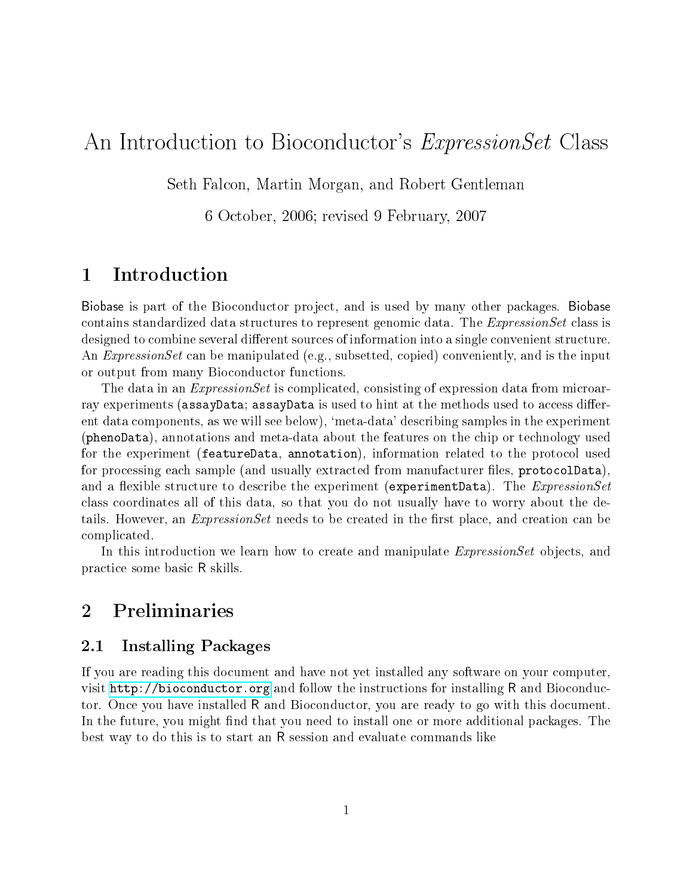# An Introduction to Bioconductor's *ExpressionSet* Class

Seth Falcon, Martin Morgan, and Robert Gentleman

6 October, 2006; revised 9 February, 2007

## 1 Introduction

Biobase is part of the Bioconductor project, and is used by many other packages. Biobase contains standardized data structures to represent genomic data. The ExpressionSet class is designed to combine several different sources of information into a single convenient structure. An *ExpressionSet* can be manipulated (e.g., subsetted, copied) conveniently, and is the input or output from many Bioconductor functions.

The data in an *ExpressionSet* is complicated, consisting of expression data from microarray experiments (assayData; assayData is used to hint at the methods used to access different data components, as we will see below), `meta-data' describing samples in the experiment (phenoData), annotations and meta-data about the features on the chip or technology used for the experiment (featureData, annotation), information related to the protocol used for processing each sample (and usually extracted from manufacturer files, protocolData). and a flexible structure to describe the experiment (experimentData). The  $ExpressionSet$ class coordinates all of this data, so that you do not usually have to worry about the details. However, an  $ExpressionSet$  needs to be created in the first place, and creation can be complicated.

In this introduction we learn how to create and manipulate *ExpressionSet* objects, and practice some basic R skills.

## 2 Preliminaries

## 2.1 Installing Packages

If you are reading this document and have not yet installed any software on your computer, visit <http://bioconductor.org> and follow the instructions for installing R and Bioconductor. Once you have installed R and Bioconductor, you are ready to go with this document. In the future, you might find that you need to install one or more additional packages. The best way to do this is to start an R session and evaluate commands like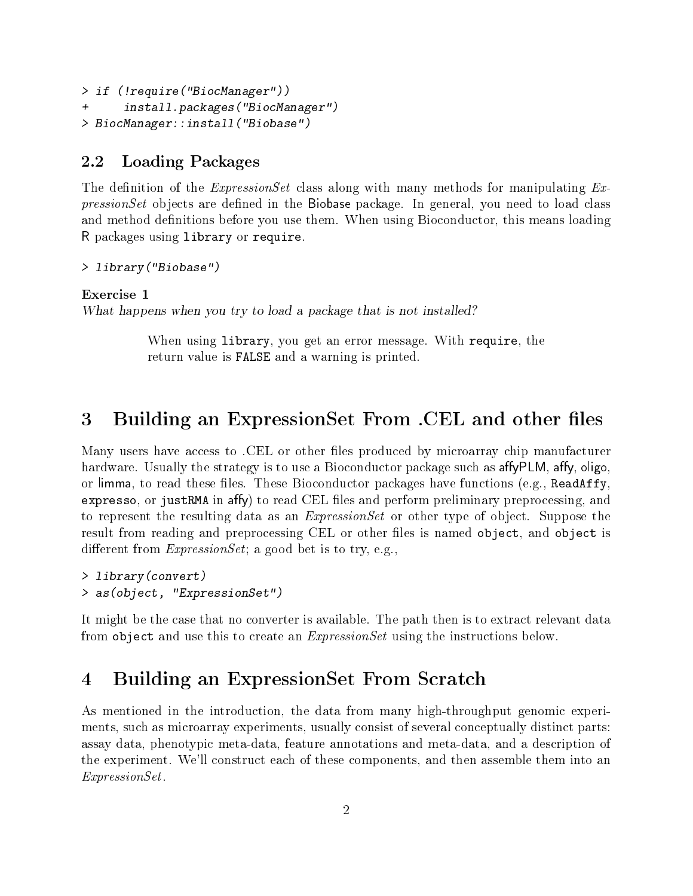```
> if (!require("BiocManager"))
      install.packages("BiocManager")
> BiocManager::install("Biobase")
```
## 2.2 Loading Packages

The definition of the *ExpressionSet* class along with many methods for manipulating  $Ex$  $pressionSet$  objects are defined in the Biobase package. In general, you need to load class and method definitions before you use them. When using Bioconductor, this means loading R packages using library or require.

```
> library("Biobase")
```
### Exercise 1

What happens when you try to load a package that is not installed?

When using library, you get an error message. With require, the return value is FALSE and a warning is printed.

## 3 Building an ExpressionSet From .CEL and other files

Many users have access to .CEL or other files produced by microarray chip manufacturer hardware. Usually the strategy is to use a Bioconductor package such as affy PLM, affy, oligo, or limma, to read these files. These Bioconductor packages have functions (e.g., ReadAffy, expresso, or justRMA in affy) to read CEL files and perform preliminary preprocessing, and to represent the resulting data as an *ExpressionSet* or other type of object. Suppose the result from reading and preprocessing CEL or other files is named object, and object is different from  $ExpressionSet$ ; a good bet is to try, e.g.,

```
> library(convert)
> as(object, "ExpressionSet")
```
It might be the case that no converter is available. The path then is to extract relevant data from object and use this to create an *ExpressionSet* using the instructions below.

## 4 Building an ExpressionSet From Scratch

As mentioned in the introduction, the data from many high-throughput genomic experiments, such as microarray experiments, usually consist of several conceptually distinct parts: assay data, phenotypic meta-data, feature annotations and meta-data, and a description of the experiment. We'll construct each of these components, and then assemble them into an ExpressionSet.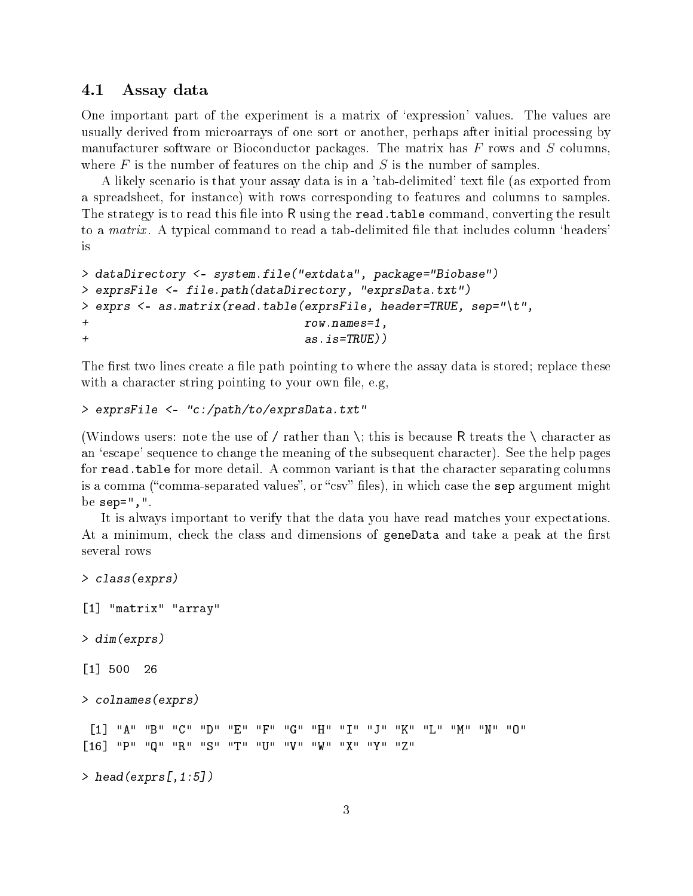### 4.1 Assay data

One important part of the experiment is a matrix of 'expression' values. The values are usually derived from microarrays of one sort or another, perhaps after initial processing by manufacturer software or Bioconductor packages. The matrix has  $F$  rows and  $S$  columns, where  $F$  is the number of features on the chip and  $S$  is the number of samples.

A likely scenario is that your assay data is in a 'tab-delimited' text file (as exported from a spreadsheet, for instance) with rows corresponding to features and columns to samples. The strategy is to read this file into R using the read. table command, converting the result to a *matrix*. A typical command to read a tab-delimited file that includes column 'headers' is

```
> dataDirectory <- system.file("extdata", package="Biobase")
> exprsFile <- file.path(dataDirectory, "exprsData.txt")
> exprs <- as.matrix(read.table(exprsFile, header=TRUE, sep="\t",
+ row.names=1,
+ as.is=TRUE))
```
The first two lines create a file path pointing to where the assay data is stored; replace these with a character string pointing to your own file, e.g,

#### > exprsFile <- "c:/path/to/exprsData.txt"

(Windows users: note the use of / rather than \; this is because R treats the \ character as an 'escape' sequence to change the meaning of the subsequent character). See the help pages for read.table for more detail. A common variant is that the character separating columns is a comma ("comma-separated values", or "csv" files), in which case the sep argument might be  $sep=" "$ ,  $"$ .

It is always important to verify that the data you have read matches your expectations. At a minimum, check the class and dimensions of geneData and take a peak at the first several rows

```
> class(exprs)
[1] "matrix" "array"
> dim(exprs)
[1] 500 26
> colnames(exprs)
 [1] "A" "B" "C" "D" "E" "F" "G" "H" "I" "J" "K" "L" "M" "N" "O"
[16] "P" "Q" "R" "S" "T" "U" "V" "W" "X" "Y" "Z"
> head(exprs[,1:5])
```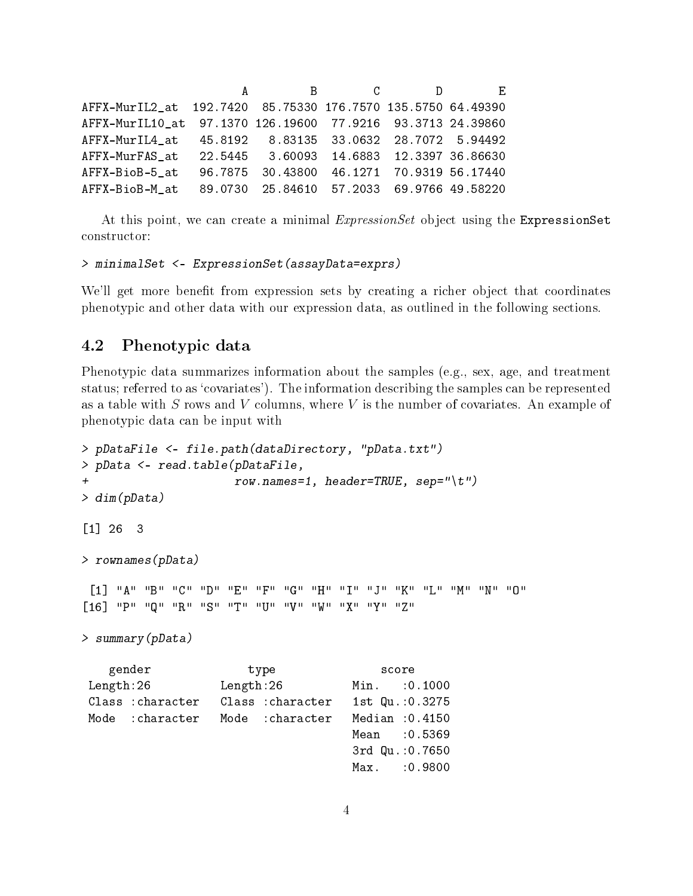A B C D E AFFX-MurIL2\_at 192.7420 85.75330 176.7570 135.5750 64.49390 AFFX-MurIL10\_at 97.1370 126.19600 77.9216 93.3713 24.39860 AFFX-MurIL4\_at 45.8192 8.83135 33.0632 28.7072 5.94492 AFFX-MurFAS\_at 22.5445 3.60093 14.6883 12.3397 36.86630 AFFX-BioB-5\_at 96.7875 30.43800 46.1271 70.9319 56.17440 AFFX-BioB-M\_at 89.0730 25.84610 57.2033 69.9766 49.58220

At this point, we can create a minimal ExpressionSet object using the ExpressionSet constructor:

```
> minimalSet <- ExpressionSet(assayData=exprs)
```
We'll get more benefit from expression sets by creating a richer object that coordinates phenotypic and other data with our expression data, as outlined in the following sections.

## 4.2 Phenotypic data

Phenotypic data summarizes information about the samples (e.g., sex, age, and treatment status; referred to as `covariates'). The information describing the samples can be represented as a table with  $S$  rows and  $V$  columns, where  $V$  is the number of covariates. An example of phenotypic data can be input with

```
> pDataFile <- file.path(dataDirectory, "pData.txt")
> pData <- read.table(pDataFile,
+ row.names=1, header=TRUE, sep="\t")
> dim(pData)
[1] 26 3
> rownames(pData)
 [1] "A" "B" "C" "D" "E" "F" "G" "H" "I" "J" "K" "L" "M" "N" "O"
[16] "P" "Q" "R" "S" "T" "U" "V" "W" "X" "Y" "Z"
> summary(pData)
   gender type score
Length:26 Length:26 Min. :0.1000
Class :character Class :character 1st Qu.:0.3275
Mode :character Mode :character Median :0.4150
                                  Mean : 0.5369
                                  3rd Qu.:0.7650
                                  Max. :0.9800
```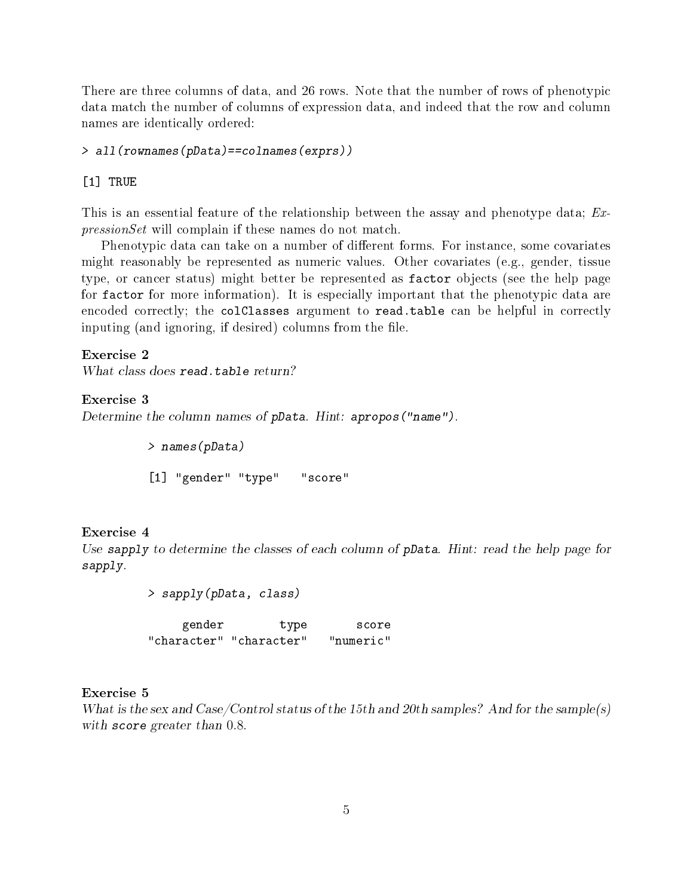There are three columns of data, and 26 rows. Note that the number of rows of phenotypic data match the number of columns of expression data, and indeed that the row and column names are identically ordered:

> all(rownames(pData)==colnames(exprs))

#### [1] TRUE

This is an essential feature of the relationship between the assay and phenotype data; ExpressionSet will complain if these names do not match.

Phenotypic data can take on a number of different forms. For instance, some covariates might reasonably be represented as numeric values. Other covariates (e.g., gender, tissue type, or cancer status) might better be represented as factor objects (see the help page for factor for more information). It is especially important that the phenotypic data are encoded correctly; the colClasses argument to read.table can be helpful in correctly inputing (and ignoring, if desired) columns from the file.

Exercise 2 What class does read.table return?

#### Exercise 3

Determine the column names of pData. Hint: apropos("name").

> names(pData) [1] "gender" "type" "score"

#### Exercise 4

Use sapply to determine the classes of each column of pData. Hint: read the help page for sapply.

> sapply(pData, class)

gender type score "character" "character" "numeric"

#### Exercise 5

What is the sex and  $\text{Case}/\text{Control}$  status of the 15th and 20th samples? And for the sample(s) with score greater than 0.8.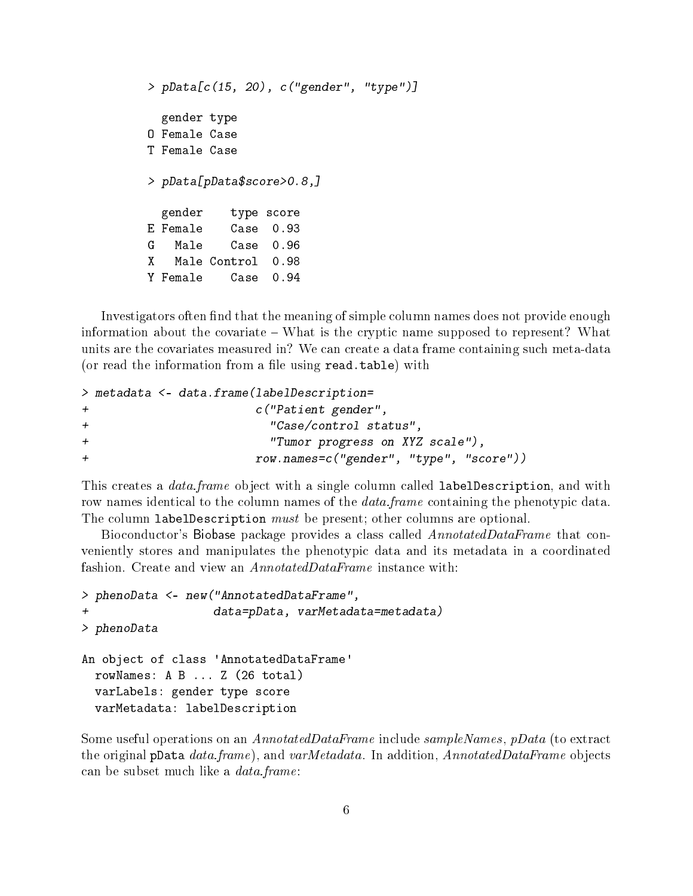```
> pData[c(15, 20), c("gender", "type")]
 gender type
O Female Case
T Female Case
> pData[pData$score>0.8,]
 gender type score
E Female Case 0.93
G Male Case 0.96
X Male Control 0.98
Y Female Case 0.94
```
Investigators often find that the meaning of simple column names does not provide enough information about the covariate – What is the cryptic name supposed to represent? What units are the covariates measured in? We can create a data frame containing such meta-data (or read the information from a file using read.table) with

```
> metadata <- data.frame(labelDescription=
+ c("Patient gender",
+ "Case/control status",
+ "Tumor progress on XYZ scale"),
+ row.names=c("gender", "type", "score"))
```
This creates a *data.frame* object with a single column called **labelDescription**, and with row names identical to the column names of the *data.frame* containing the phenotypic data. The column labelDescription *must* be present; other columns are optional.

Bioconductor's Biobase package provides a class called *AnnotatedDataFrame* that conveniently stores and manipulates the phenotypic data and its metadata in a coordinated fashion. Create and view an *AnnotatedDataFrame* instance with:

```
> phenoData <- new("AnnotatedDataFrame",
                   data=pData, varMetadata=metadata)
> phenoData
An object of class 'AnnotatedDataFrame'
  rowNames: A B ... Z (26 total)
  varLabels: gender type score
  varMetadata: labelDescription
```
Some useful operations on an AnnotatedDataFrame include sampleNames, pData (to extract the original pData data.frame), and varMetadata. In addition, AnnotatedDataFrame objects can be subset much like a data.frame: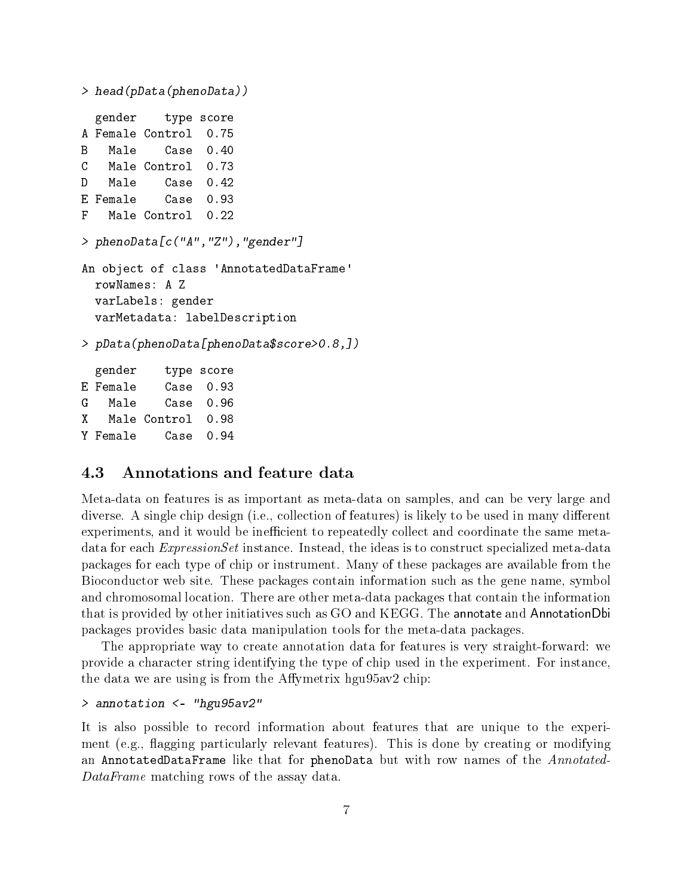```
> head(pData(phenoData))
 gender type score
A Female Control 0.75
B Male Case 0.40
C Male Control 0.73
D Male Case 0.42
E Female Case 0.93
F Male Control 0.22
> phenoData[c("A","Z"),"gender"]
An object of class 'AnnotatedDataFrame'
 rowNames: A Z
 varLabels: gender
 varMetadata: labelDescription
> pData(phenoData[phenoData$score>0.8,])
 gender type score
E Female Case 0.93
G Male Case 0.96
X Male Control 0.98
Y Female Case 0.94
```
### 4.3 Annotations and feature data

Meta-data on features is as important as meta-data on samples, and can be very large and diverse. A single chip design (i.e., collection of features) is likely to be used in many different experiments, and it would be inefficient to repeatedly collect and coordinate the same metadata for each *ExpressionSet* instance. Instead, the ideas is to construct specialized meta-data packages for each type of chip or instrument. Many of these packages are available from the Bioconductor web site. These packages contain information such as the gene name, symbol and chromosomal location. There are other meta-data packages that contain the information that is provided by other initiatives such as GO and KEGG. The annotate and AnnotationDbi packages provides basic data manipulation tools for the meta-data packages.

The appropriate way to create annotation data for features is very straight-forward: we provide a character string identifying the type of chip used in the experiment. For instance, the data we are using is from the Affymetrix hgu $95av2$  chip:

#### > annotation <- "hgu95av2"

It is also possible to record information about features that are unique to the experiment (e.g., flagging particularly relevant features). This is done by creating or modifying an AnnotatedDataFrame like that for phenoData but with row names of the Annotated-DataFrame matching rows of the assay data.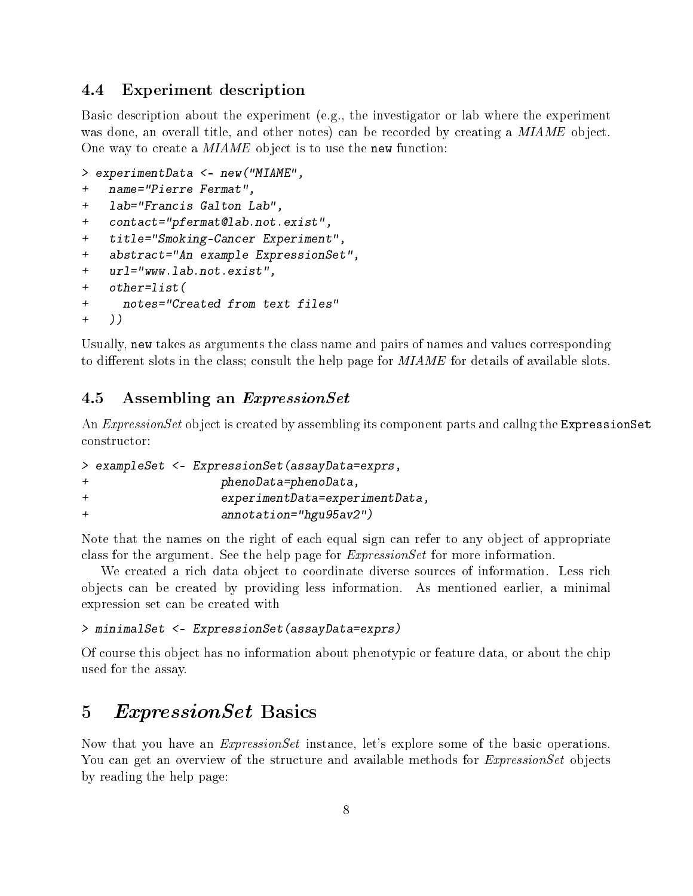### 4.4 Experiment description

Basic description about the experiment (e.g., the investigator or lab where the experiment was done, an overall title, and other notes) can be recorded by creating a MIAME object. One way to create a MIAME object is to use the new function:

```
> experimentData <- new("MIAME",
+ name="Pierre Fermat",
+ lab="Francis Galton Lab",
+ contact="pfermat@lab.not.exist",
+ title="Smoking-Cancer Experiment",
+ abstract="An example ExpressionSet",
+ url="www.lab.not.exist",
+ other=list(
+ notes="Created from text files"
+ ))
```
Usually, new takes as arguments the class name and pairs of names and values corresponding to different slots in the class; consult the help page for  $MIAME$  for details of available slots.

## 4.5 Assembling an ExpressionSet

An *ExpressionSet* object is created by assembling its component parts and callng the ExpressionSet constructor:

```
> exampleSet <- ExpressionSet(assayData=exprs,
+ phenoData=phenoData,
+ experimentData=experimentData,
+ annotation="hgu95av2")
```
Note that the names on the right of each equal sign can refer to any object of appropriate class for the argument. See the help page for ExpressionSet for more information.

We created a rich data object to coordinate diverse sources of information. Less rich objects can be created by providing less information. As mentioned earlier, a minimal expression set can be created with

#### > minimalSet <- ExpressionSet(assayData=exprs)

Of course this object has no information about phenotypic or feature data, or about the chip used for the assay.

## 5 ExpressionSet Basics

Now that you have an *ExpressionSet* instance, let's explore some of the basic operations. You can get an overview of the structure and available methods for *ExpressionSet* objects by reading the help page: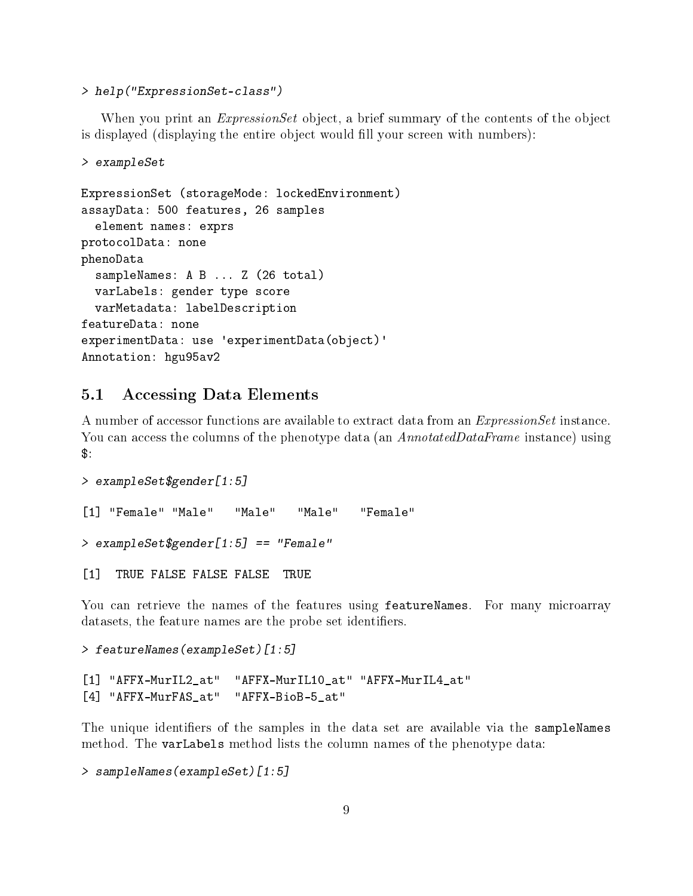> help("ExpressionSet-class")

When you print an *ExpressionSet* object, a brief summary of the contents of the object is displayed (displaying the entire object would fill your screen with numbers):

```
> exampleSet
ExpressionSet (storageMode: lockedEnvironment)
assayData: 500 features, 26 samples
  element names: exprs
protocolData: none
phenoData
  sampleNames: A B ... Z (26 total)
  varLabels: gender type score
  varMetadata: labelDescription
featureData: none
experimentData: use 'experimentData(object)'
Annotation: hgu95av2
```
## 5.1 Accessing Data Elements

A number of accessor functions are available to extract data from an ExpressionSet instance. You can access the columns of the phenotype data (an AnnotatedDataFrame instance) using  $$:$ 

```
> exampleSet$gender[1:5]
[1] "Female" "Male" "Male" "Male" "Female"
> exampleSet$gender[1:5] == "Female"
[1] TRUE FALSE FALSE FALSE TRUE
```
You can retrieve the names of the features using featureNames. For many microarray datasets, the feature names are the probe set identifiers.

```
> featureNames(exampleSet)[1:5]
```

```
[1] "AFFX-MurIL2_at" "AFFX-MurIL10_at" "AFFX-MurIL4_at"
[4] "AFFX-MurFAS_at" "AFFX-BioB-5_at"
```
The unique identifiers of the samples in the data set are available via the sampleNames method. The varLabels method lists the column names of the phenotype data:

```
> sampleNames(exampleSet)[1:5]
```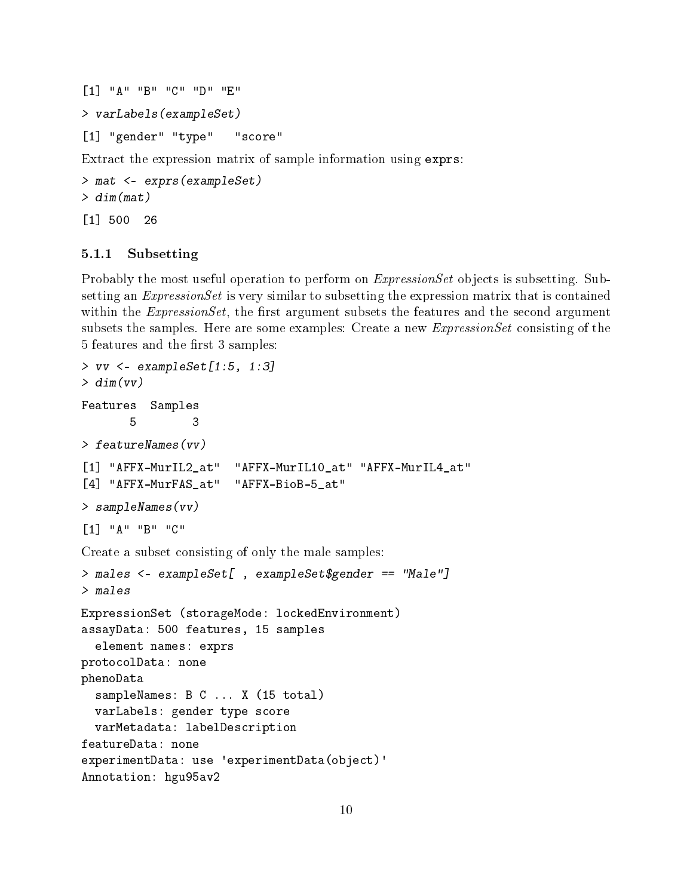```
[1] "A" "B" "C" "D" "E"
> varLabels(exampleSet)
[1] "gender" "type" "score"
Extract the expression matrix of sample information using exprs:
```

```
> mat <- exprs(exampleSet)
> dim(mat)[1] 500 26
```
#### 5.1.1 Subsetting

Probably the most useful operation to perform on *ExpressionSet* objects is subsetting. Subsetting an *ExpressionSet* is very similar to subsetting the expression matrix that is contained within the  $ExpressionSet$ , the first argument subsets the features and the second argument subsets the samples. Here are some examples: Create a new *ExpressionSet* consisting of the 5 features and the first 3 samples:

```
> vv <- exampleSet[1:5, 1:3]
> dim(vv)Features Samples
       5 3
> featureNames(vv)
[1] "AFFX-MurIL2_at" "AFFX-MurIL10_at" "AFFX-MurIL4_at"
[4] "AFFX-MurFAS_at" "AFFX-BioB-5_at"
> sampleNames(vv)
[1] "A" "B" "C"
Create a subset consisting of only the male samples:
> males <- exampleSet[ , exampleSet$gender == "Male"]
> males
ExpressionSet (storageMode: lockedEnvironment)
assayData: 500 features, 15 samples
  element names: exprs
protocolData: none
phenoData
  sampleNames: B C ... X (15 total)
  varLabels: gender type score
  varMetadata: labelDescription
featureData: none
experimentData: use 'experimentData(object)'
Annotation: hgu95av2
```